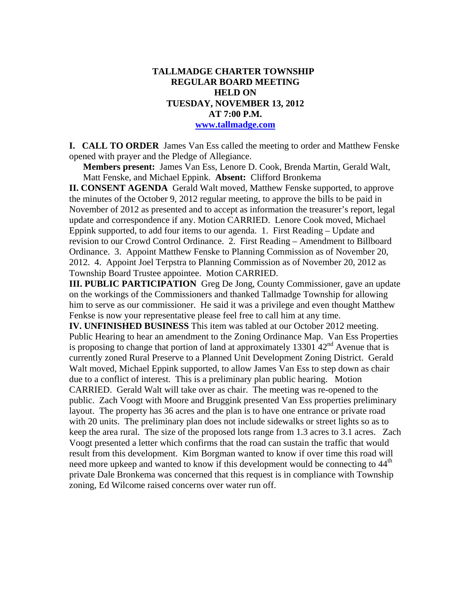### **TALLMADGE CHARTER TOWNSHIP REGULAR BOARD MEETING HELD ON TUESDAY, NOVEMBER 13, 2012 AT 7:00 P.M. www.tallmadge.com**

**I. CALL TO ORDER** James Van Ess called the meeting to order and Matthew Fenske opened with prayer and the Pledge of Allegiance.

**Members present:** James Van Ess, Lenore D. Cook, Brenda Martin, Gerald Walt, Matt Fenske, and Michael Eppink. **Absent:** Clifford Bronkema

**II. CONSENT AGENDA** Gerald Walt moved, Matthew Fenske supported, to approve the minutes of the October 9, 2012 regular meeting, to approve the bills to be paid in November of 2012 as presented and to accept as information the treasurer's report, legal update and correspondence if any. Motion CARRIED. Lenore Cook moved, Michael Eppink supported, to add four items to our agenda. 1. First Reading – Update and revision to our Crowd Control Ordinance. 2. First Reading – Amendment to Billboard Ordinance. 3. Appoint Matthew Fenske to Planning Commission as of November 20, 2012. 4. Appoint Joel Terpstra to Planning Commission as of November 20, 2012 as Township Board Trustee appointee. Motion CARRIED.

**III. PUBLIC PARTICIPATION** Greg De Jong, County Commissioner, gave an update on the workings of the Commissioners and thanked Tallmadge Township for allowing him to serve as our commissioner. He said it was a privilege and even thought Matthew Fenkse is now your representative please feel free to call him at any time.

**IV. UNFINISHED BUSINESS** This item was tabled at our October 2012 meeting. Public Hearing to hear an amendment to the Zoning Ordinance Map. Van Ess Properties is proposing to change that portion of land at approximately 13301  $42<sup>nd</sup>$  Avenue that is currently zoned Rural Preserve to a Planned Unit Development Zoning District. Gerald Walt moved, Michael Eppink supported, to allow James Van Ess to step down as chair due to a conflict of interest. This is a preliminary plan public hearing. Motion CARRIED. Gerald Walt will take over as chair. The meeting was re-opened to the public. Zach Voogt with Moore and Bruggink presented Van Ess properties preliminary layout. The property has 36 acres and the plan is to have one entrance or private road with 20 units. The preliminary plan does not include sidewalks or street lights so as to keep the area rural. The size of the proposed lots range from 1.3 acres to 3.1 acres. Zach Voogt presented a letter which confirms that the road can sustain the traffic that would result from this development. Kim Borgman wanted to know if over time this road will need more upkeep and wanted to know if this development would be connecting to 44<sup>th</sup> private Dale Bronkema was concerned that this request is in compliance with Township zoning, Ed Wilcome raised concerns over water run off.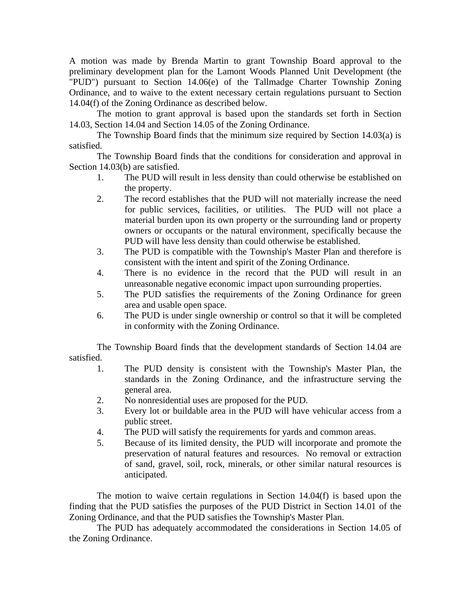A motion was made by Brenda Martin to grant Township Board approval to the preliminary development plan for the Lamont Woods Planned Unit Development (the "PUD") pursuant to Section 14.06(e) of the Tallmadge Charter Township Zoning Ordinance, and to waive to the extent necessary certain regulations pursuant to Section 14.04(f) of the Zoning Ordinance as described below.

The motion to grant approval is based upon the standards set forth in Section 14.03, Section 14.04 and Section 14.05 of the Zoning Ordinance.

The Township Board finds that the minimum size required by Section 14.03(a) is satisfied.

The Township Board finds that the conditions for consideration and approval in Section 14.03(b) are satisfied.

- 1. The PUD will result in less density than could otherwise be established on the property.
- 2. The record establishes that the PUD will not materially increase the need for public services, facilities, or utilities. The PUD will not place a material burden upon its own property or the surrounding land or property owners or occupants or the natural environment, specifically because the PUD will have less density than could otherwise be established.
- 3. The PUD is compatible with the Township's Master Plan and therefore is consistent with the intent and spirit of the Zoning Ordinance.
- 4. There is no evidence in the record that the PUD will result in an unreasonable negative economic impact upon surrounding properties.
- 5. The PUD satisfies the requirements of the Zoning Ordinance for green area and usable open space.
- 6. The PUD is under single ownership or control so that it will be completed in conformity with the Zoning Ordinance.

The Township Board finds that the development standards of Section 14.04 are satisfied.

- 1. The PUD density is consistent with the Township's Master Plan, the standards in the Zoning Ordinance, and the infrastructure serving the general area.
- 2. No nonresidential uses are proposed for the PUD.
- 3. Every lot or buildable area in the PUD will have vehicular access from a public street.
- 4. The PUD will satisfy the requirements for yards and common areas.
- 5. Because of its limited density, the PUD will incorporate and promote the preservation of natural features and resources. No removal or extraction of sand, gravel, soil, rock, minerals, or other similar natural resources is anticipated.

The motion to waive certain regulations in Section 14.04(f) is based upon the finding that the PUD satisfies the purposes of the PUD District in Section 14.01 of the Zoning Ordinance, and that the PUD satisfies the Township's Master Plan.

The PUD has adequately accommodated the considerations in Section 14.05 of the Zoning Ordinance.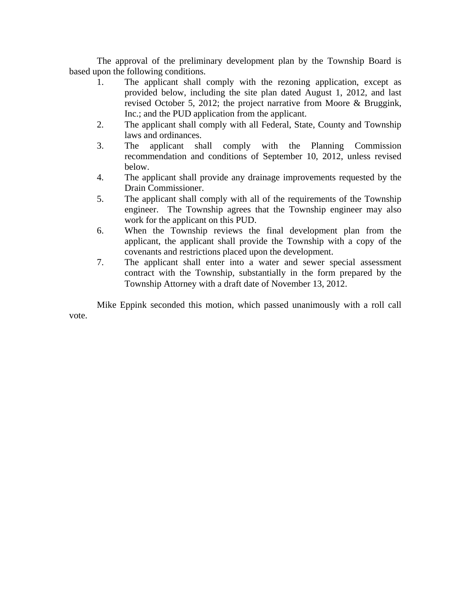The approval of the preliminary development plan by the Township Board is based upon the following conditions.

- 1. The applicant shall comply with the rezoning application, except as provided below, including the site plan dated August 1, 2012, and last revised October 5, 2012; the project narrative from Moore & Bruggink, Inc.; and the PUD application from the applicant.
- 2. The applicant shall comply with all Federal, State, County and Township laws and ordinances.
- 3. The applicant shall comply with the Planning Commission recommendation and conditions of September 10, 2012, unless revised below.
- 4. The applicant shall provide any drainage improvements requested by the Drain Commissioner.
- 5. The applicant shall comply with all of the requirements of the Township engineer. The Township agrees that the Township engineer may also work for the applicant on this PUD.
- 6. When the Township reviews the final development plan from the applicant, the applicant shall provide the Township with a copy of the covenants and restrictions placed upon the development.
- 7. The applicant shall enter into a water and sewer special assessment contract with the Township, substantially in the form prepared by the Township Attorney with a draft date of November 13, 2012.

 Mike Eppink seconded this motion, which passed unanimously with a roll call vote.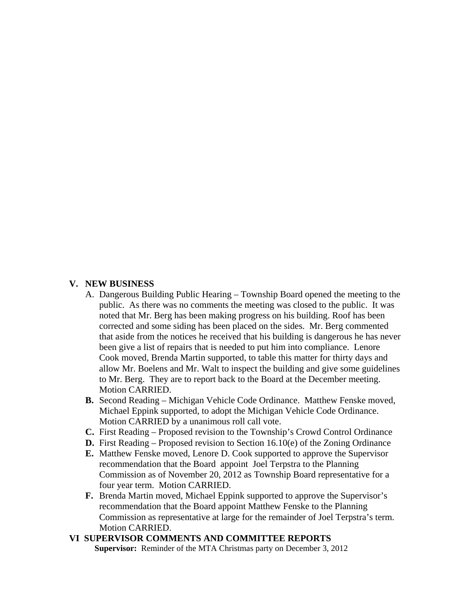#### **V. NEW BUSINESS**

- A. Dangerous Building Public Hearing Township Board opened the meeting to the public. As there was no comments the meeting was closed to the public. It was noted that Mr. Berg has been making progress on his building. Roof has been corrected and some siding has been placed on the sides. Mr. Berg commented that aside from the notices he received that his building is dangerous he has never been give a list of repairs that is needed to put him into compliance. Lenore Cook moved, Brenda Martin supported, to table this matter for thirty days and allow Mr. Boelens and Mr. Walt to inspect the building and give some guidelines to Mr. Berg. They are to report back to the Board at the December meeting. Motion CARRIED.
- **B.** Second Reading Michigan Vehicle Code Ordinance. Matthew Fenske moved, Michael Eppink supported, to adopt the Michigan Vehicle Code Ordinance. Motion CARRIED by a unanimous roll call vote.
- **C.** First Reading Proposed revision to the Township's Crowd Control Ordinance
- **D.** First Reading Proposed revision to Section 16.10(e) of the Zoning Ordinance
- **E.** Matthew Fenske moved, Lenore D. Cook supported to approve the Supervisor recommendation that the Board appoint Joel Terpstra to the Planning Commission as of November 20, 2012 as Township Board representative for a four year term. Motion CARRIED.
- **F.** Brenda Martin moved, Michael Eppink supported to approve the Supervisor's recommendation that the Board appoint Matthew Fenske to the Planning Commission as representative at large for the remainder of Joel Terpstra's term. Motion CARRIED.

### **VI SUPERVISOR COMMENTS AND COMMITTEE REPORTS**

 **Supervisor:** Reminder of the MTA Christmas party on December 3, 2012